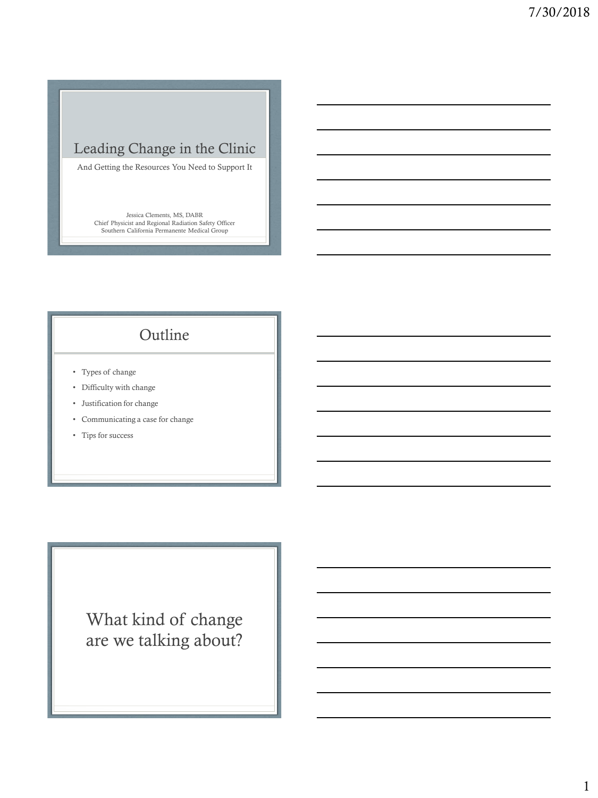### Leading Change in the Clinic

And Getting the Resources You Need to Support It

Jessica Clements, MS, DABR Chief Physicist and Regional Radiation Safety Officer Southern California Permanente Medical Group

### Outline

- Types of change
- Difficulty with change
- Justification for change
- Communicating a case for change
- Tips for success

What kind of change are we talking about?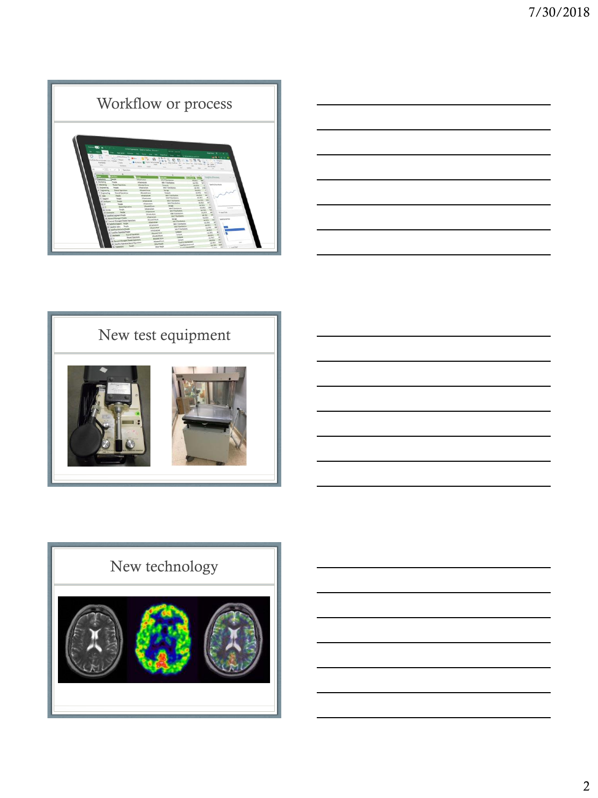







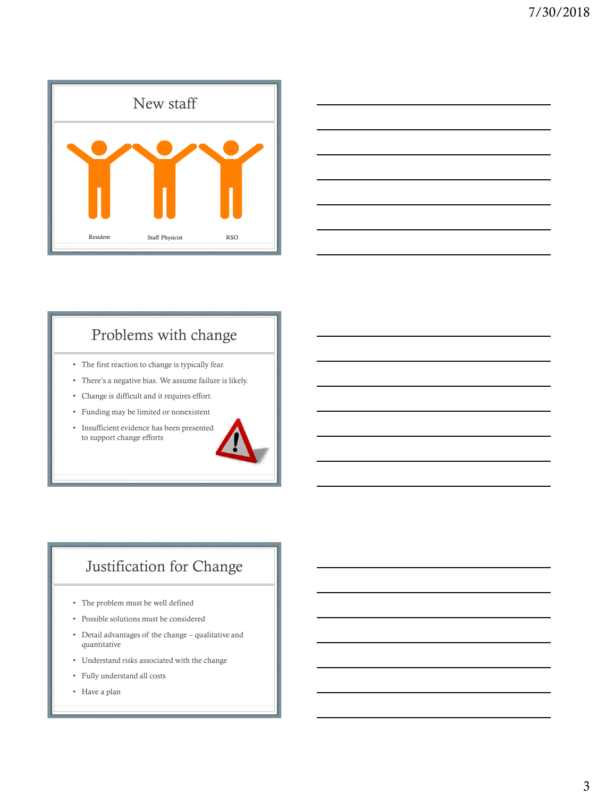



## Problems with change

- The first reaction to change is typically fear.
- There's a negative bias. We assume failure is likely.
- Change is difficult and it requires effort.
- Funding may be limited or nonexistent
- Insufficient evidence has been presented to support change efforts



## Justification for Change

- The problem must be well defined
- Possible solutions must be considered
- Detail advantages of the change qualitative and quantitative
- Understand risks associated with the change
- Fully understand all costs
- Have a plan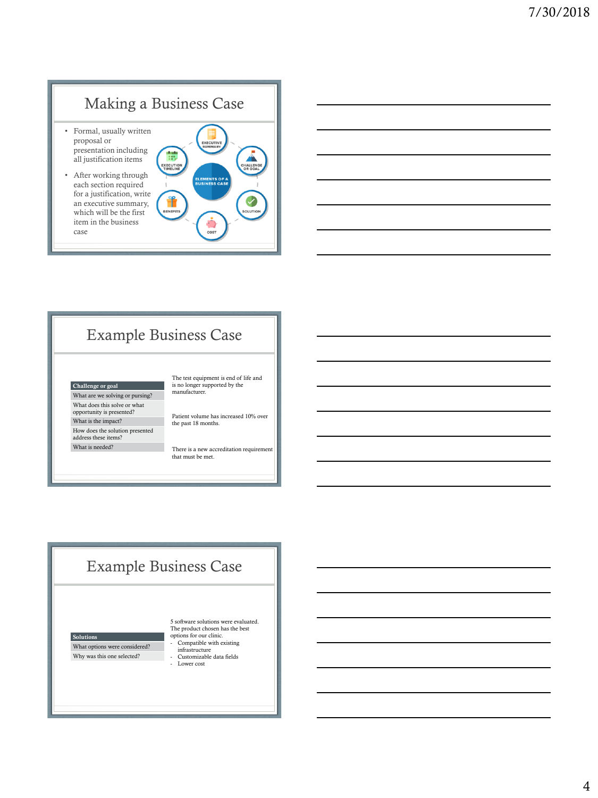# Making a Business Case

- Formal, usually written proposal or presentation including all justification items
- After working through each section required for a justification, write an executive summary, which will be the first item in the business case





## Example Business Case

### Challenge or goal

What are we solving or pursing? What does this solve or what opportunity is presented? What is the impact?

How does the solution presented address these items? What is needed?

The test equipment is end of life and is no longer supported by the manufacturer.

Patient volume has increased 10% over the past 18 months.

There is a new accreditation requirement that must be met.

### Example Business Case

Solutions What options were considered?

Why was this one selected?

5 software solutions were evaluated. The product chosen has the best options for our clinic. - Compatible with existing infrastructure

- Customizable data fields - Lower cost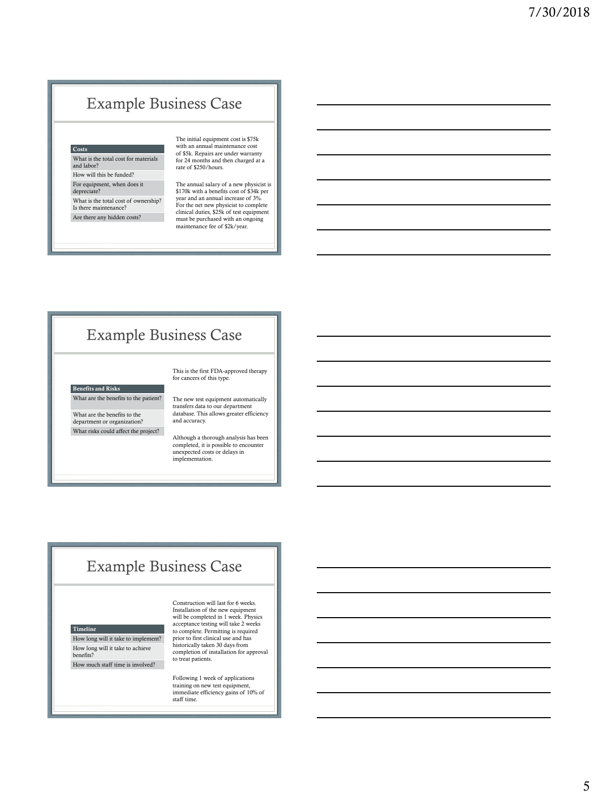## Example Business Case

#### **Costs**

What is the total cost for materials and labor?

How will this be funded? For equipment, when does it depreciate? What is the total cost of ownership? Is there maintenance? Are there any hidden costs?

The initial equipment cost is \$75k with an annual maintenance cost of \$5k. Repairs are under warranty for 24 months and then charged at a rate of \$250/hours.

The annual salary of a new physicist is \$170k with a benefits cost of \$34k per year and an annual increase of 3%. For the net new physicist to complete clinical duties, \$25k of test equipment must be purchased with an ongoing maintenance fee of \$2k/year.

### Example Business Case

### Benefits and Risks

What are the benefits to the patient?

What are the benefits to the department or organization? What risks could affect the project?

The new test equipment automatically transfers data to our department database. This allows greater efficiency and accuracy.

This is the first FDA-approved therapy for cancers of this type.

Although a thorough analysis has been completed, it is possible to encounter unexpected costs or delays in implementation.

### Example Business Case

#### Timeline

How long will it take to implement? How long will it take to achieve benefits? How much staff time is involved?

Construction will last for 6 weeks. Installation of the new equipment will be completed in 1 week. Physics acceptance testing will take 2 weeks to complete. Permitting is required prior to first clinical use and has historically taken 30 days from completion of installation for approval to treat patients.

Following 1 week of applications training on new test equipment, immediate efficiency gains of 10% of staff time.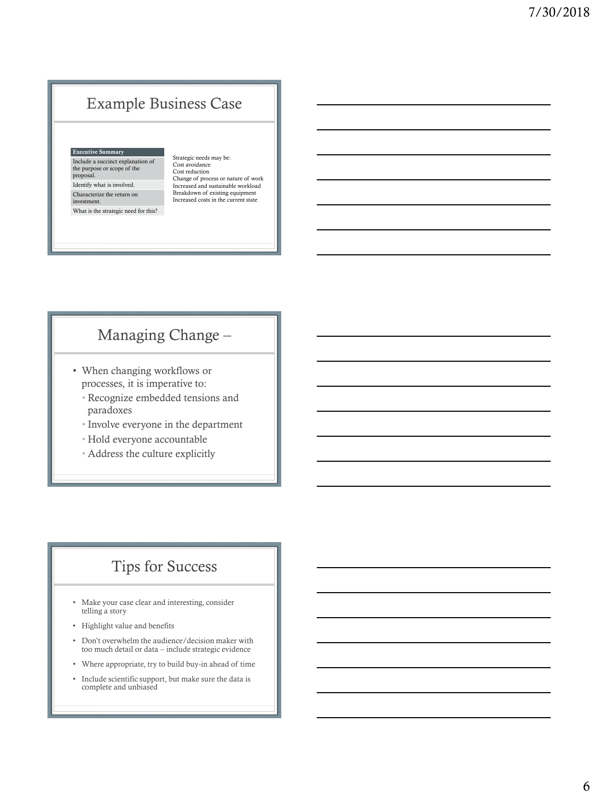### Example Business Case

### Executive Summary

Include a succinct explanation of the purpose or scope of the proposal. Identify what is involved.

Characterize the return on investment. What is the strategic need for this? Strategic needs may be: Cost avoidance Cost reduction Change of process or nature of work Increased and sustainable workload Breakdown of existing equipment Increased costs in the current state

### Managing Change –

- When changing workflows or processes, it is imperative to:
	- Recognize embedded tensions and paradoxes
	- Involve everyone in the department
	- Hold everyone accountable
	- Address the culture explicitly

### Tips for Success

- Make your case clear and interesting, consider telling a story
- Highlight value and benefits
- Don't overwhelm the audience/decision maker with too much detail or data – include strategic evidence
- Where appropriate, try to build buy-in ahead of time
- Include scientific support, but make sure the data is complete and unbiased